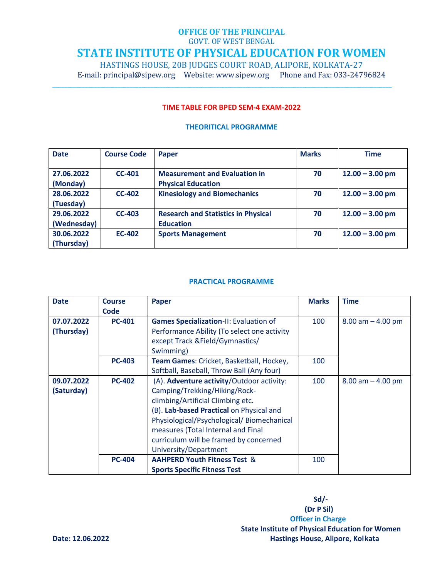## **OFFICE OF THE PRINCIPAL**

GOVT. OF WEST BENGAL

# **STATE INSTITUTE OF PHYSICAL EDUCATION FOR WOMEN**

HASTINGS HOUSE, 20B JUDGES COURT ROAD, ALIPORE, KOLKATA-27

\_\_\_\_\_\_\_\_\_\_\_\_\_\_\_\_\_\_\_\_\_\_\_\_\_\_\_\_\_\_\_\_\_\_\_\_\_\_\_\_\_\_\_\_\_\_\_\_\_\_\_\_\_\_\_\_\_\_\_\_\_\_\_\_\_\_\_\_\_\_\_\_\_\_\_\_\_\_\_\_\_\_\_\_\_\_\_\_\_\_\_\_\_\_\_\_\_\_\_\_\_\_\_\_\_\_\_\_\_\_\_\_\_\_

E-mail: principal@sipew.org Website: www.sipew.org Phone and Fax: 033-24796824

### **TIME TABLE FOR BPED SEM-4 EXAM-2022**

### **THEORITICAL PROGRAMME**

| <b>Date</b> | <b>Course Code</b> | <b>Paper</b>                               | <b>Marks</b> | <b>Time</b>       |
|-------------|--------------------|--------------------------------------------|--------------|-------------------|
|             |                    |                                            |              |                   |
| 27.06.2022  | $CC-401$           | <b>Measurement and Evaluation in</b>       | 70           | $12.00 - 3.00$ pm |
| (Monday)    |                    | <b>Physical Education</b>                  |              |                   |
| 28.06.2022  | $CC-402$           | <b>Kinesiology and Biomechanics</b>        | 70           | $12.00 - 3.00$ pm |
| (Tuesday)   |                    |                                            |              |                   |
| 29.06.2022  | <b>CC-403</b>      | <b>Research and Statistics in Physical</b> | 70           | $12.00 - 3.00$ pm |
| (Wednesday) |                    | <b>Education</b>                           |              |                   |
| 30.06.2022  | <b>EC-402</b>      | <b>Sports Management</b>                   | 70           | $12.00 - 3.00$ pm |
| (Thursday)  |                    |                                            |              |                   |

### **PRACTICAL PROGRAMME**

| <b>Date</b> | <b>Course</b> | Paper                                         | <b>Marks</b> | <b>Time</b>           |
|-------------|---------------|-----------------------------------------------|--------------|-----------------------|
|             | Code          |                                               |              |                       |
| 07.07.2022  | <b>PC-401</b> | <b>Games Specialization-II: Evaluation of</b> | 100          | $8.00$ am $- 4.00$ pm |
| (Thursday)  |               | Performance Ability (To select one activity   |              |                       |
|             |               | except Track &Field/Gymnastics/               |              |                       |
|             |               | Swimming)                                     |              |                       |
|             | <b>PC-403</b> | Team Games: Cricket, Basketball, Hockey,      | 100          |                       |
|             |               | Softball, Baseball, Throw Ball (Any four)     |              |                       |
| 09.07.2022  | <b>PC-402</b> | (A). Adventure activity/Outdoor activity:     | 100          | $8.00$ am $- 4.00$ pm |
| (Saturday)  |               | Camping/Trekking/Hiking/Rock-                 |              |                       |
|             |               | climbing/Artificial Climbing etc.             |              |                       |
|             |               | (B). Lab-based Practical on Physical and      |              |                       |
|             |               | Physiological/Psychological/Biomechanical     |              |                       |
|             |               | measures (Total Internal and Final            |              |                       |
|             |               | curriculum will be framed by concerned        |              |                       |
|             |               | University/Department                         |              |                       |
|             | <b>PC-404</b> | <b>AAHPERD Youth Fitness Test &amp;</b>       | 100          |                       |
|             |               | <b>Sports Specific Fitness Test</b>           |              |                       |